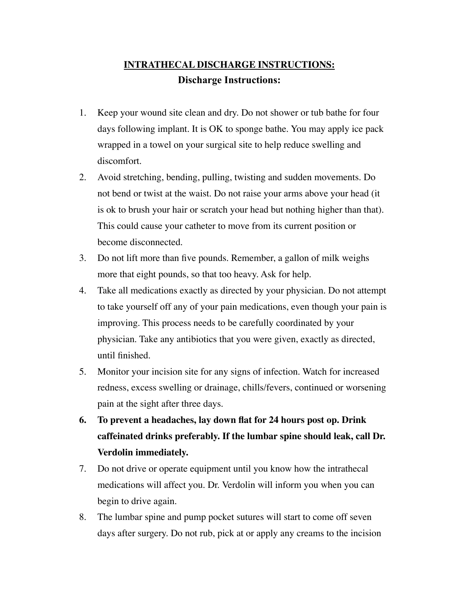## **INTRATHECAL DISCHARGE INSTRUCTIONS: Discharge Instructions:**

- 1. Keep your wound site clean and dry. Do not shower or tub bathe for four days following implant. It is OK to sponge bathe. You may apply ice pack wrapped in a towel on your surgical site to help reduce swelling and discomfort.
- 2. Avoid stretching, bending, pulling, twisting and sudden movements. Do not bend or twist at the waist. Do not raise your arms above your head (it is ok to brush your hair or scratch your head but nothing higher than that). This could cause your catheter to move from its current position or become disconnected.
- 3. Do not lift more than five pounds. Remember, a gallon of milk weighs more that eight pounds, so that too heavy. Ask for help.
- 4. Take all medications exactly as directed by your physician. Do not attempt to take yourself off any of your pain medications, even though your pain is improving. This process needs to be carefully coordinated by your physician. Take any antibiotics that you were given, exactly as directed, until finished.
- 5. Monitor your incision site for any signs of infection. Watch for increased redness, excess swelling or drainage, chills/fevers, continued or worsening pain at the sight after three days.
- **6. To prevent a headaches, lay down flat for 24 hours post op. Drink caffeinated drinks preferably. If the lumbar spine should leak, call Dr. Verdolin immediately.**
- 7. Do not drive or operate equipment until you know how the intrathecal medications will affect you. Dr. Verdolin will inform you when you can begin to drive again.
- 8. The lumbar spine and pump pocket sutures will start to come off seven days after surgery. Do not rub, pick at or apply any creams to the incision